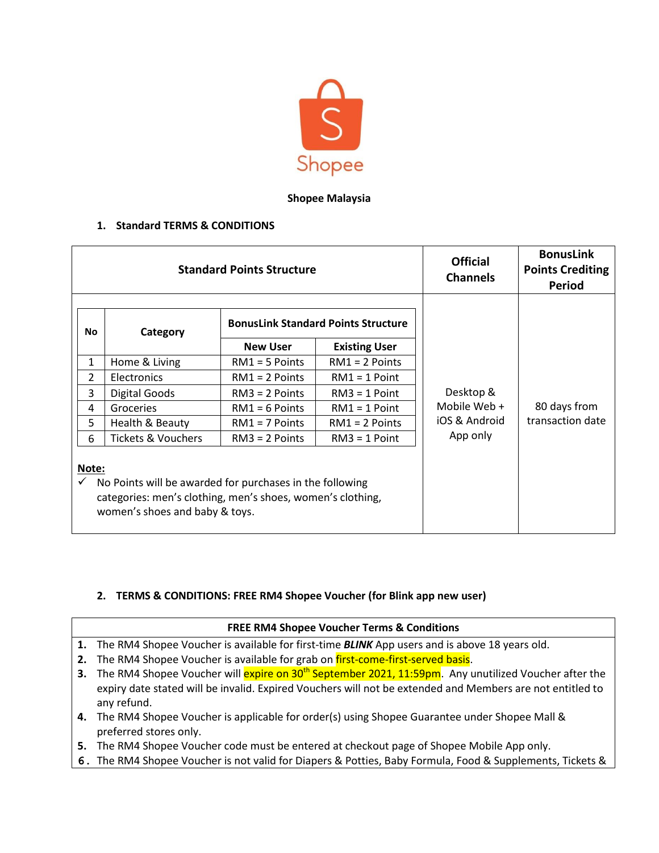

## **Shopee Malaysia**

## **1. Standard TERMS & CONDITIONS**

| <b>Standard Points Structure</b>                                                                                                                                  |                               |                                            |                      | <b>Official</b><br><b>Channels</b>         | <b>BonusLink</b><br><b>Points Crediting</b><br>Period |
|-------------------------------------------------------------------------------------------------------------------------------------------------------------------|-------------------------------|--------------------------------------------|----------------------|--------------------------------------------|-------------------------------------------------------|
| No                                                                                                                                                                | Category                      | <b>BonusLink Standard Points Structure</b> |                      |                                            |                                                       |
|                                                                                                                                                                   |                               | <b>New User</b>                            | <b>Existing User</b> | Desktop &<br>Mobile Web +<br>iOS & Android | 80 days from<br>transaction date                      |
| 1                                                                                                                                                                 | Home & Living                 | $RM1 = 5$ Points                           | $RM1 = 2$ Points     |                                            |                                                       |
| $\overline{2}$                                                                                                                                                    | Electronics                   | $RM1 = 2$ Points                           | $RM1 = 1$ Point      |                                            |                                                       |
| 3                                                                                                                                                                 | <b>Digital Goods</b>          | $RM3 = 2$ Points                           | $RM3 = 1$ Point      |                                            |                                                       |
| 4                                                                                                                                                                 | Groceries                     | $RM1 = 6$ Points                           | $RM1 = 1$ Point      |                                            |                                                       |
| 5                                                                                                                                                                 | Health & Beauty               | $RM1 = 7$ Points                           | $RM1 = 2$ Points     |                                            |                                                       |
| 6                                                                                                                                                                 | <b>Tickets &amp; Vouchers</b> | $RM3 = 2$ Points                           | $RM3 = 1$ Point      | App only                                   |                                                       |
| Note:<br>No Points will be awarded for purchases in the following<br>categories: men's clothing, men's shoes, women's clothing,<br>women's shoes and baby & toys. |                               |                                            |                      |                                            |                                                       |

## **2. TERMS & CONDITIONS: FREE RM4 Shopee Voucher (for Blink app new user)**

## **FREE RM4 Shopee Voucher Terms & Conditions**

- **1.** The RM4 Shopee Voucher is available for first-time *BLINK* App users and is above 18 years old.
- **2.** The RM4 Shopee Voucher is available for grab on first-come-first-served basis.
- **3.** The RM4 Shopee Voucher will **expire on 30<sup>th</sup> September 2021, 11:59pm**. Any unutilized Voucher after the expiry date stated will be invalid. Expired Vouchers will not be extended and Members are not entitled to any refund.
- **4.** The RM4 Shopee Voucher is applicable for order(s) using Shopee Guarantee under Shopee Mall & preferred stores only.
- **5.** The RM4 Shopee Voucher code must be entered at checkout page of Shopee Mobile App only.
- **6.** The RM4 Shopee Voucher is not valid for Diapers & Potties, Baby Formula, Food & Supplements, Tickets &